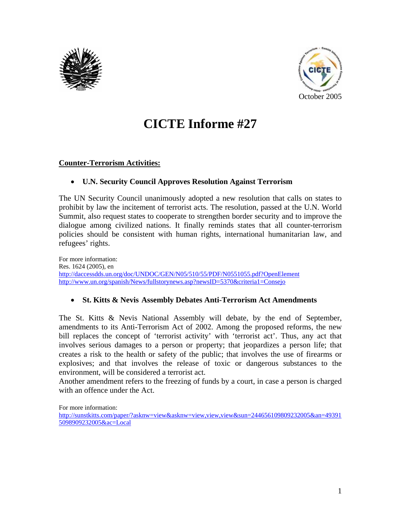



# **CICTE Informe #27**

#### **Counter-Terrorism Activities:**

#### • **U.N. Security Council Approves Resolution Against Terrorism**

The UN Security Council unanimously adopted a new resolution that calls on states to prohibit by law the incitement of terrorist acts. The resolution, passed at the U.N. World Summit, also request states to cooperate to strengthen border security and to improve the dialogue among civilized nations. It finally reminds states that all counter-terrorism policies should be consistent with human rights, international humanitarian law, and refugees' rights.

For more information: Res. 1624 (2005), en http://daccessdds.un.org/doc/UNDOC/GEN/N05/510/55/PDF/N0551055.pdf?OpenElement http://www.un.org/spanish/News/fullstorynews.asp?newsID=5370&criteria1=Consejo

#### • **St. Kitts & Nevis Assembly Debates Anti-Terrorism Act Amendments**

The St. Kitts & Nevis National Assembly will debate, by the end of September, amendments to its Anti-Terrorism Act of 2002. Among the proposed reforms, the new bill replaces the concept of 'terrorist activity' with 'terrorist act'. Thus, any act that involves serious damages to a person or property; that jeopardizes a person life; that creates a risk to the health or safety of the public; that involves the use of firearms or explosives; and that involves the release of toxic or dangerous substances to the environment, will be considered a terrorist act.

Another amendment refers to the freezing of funds by a court, in case a person is charged with an offence under the Act.

For more information:

http://sunstkitts.com/paper/?asknw=view&asknw=view,view,view&sun=244656109809232005&an=49391 5098909232005&ac=Local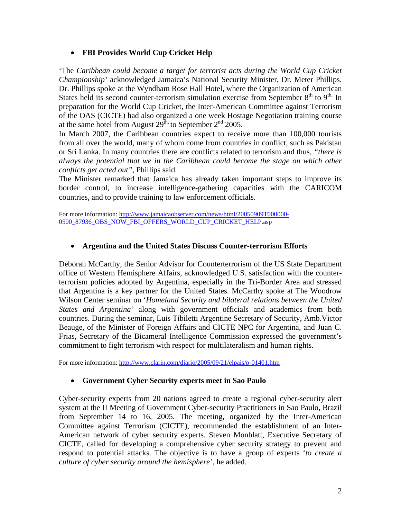## • **FBI Provides World Cup Cricket Help**

'The *Caribbean could become a target for terrorist acts during the World Cup Cricket Championship'* acknowledged Jamaica's National Security Minister, Dr. Meter Phillips. Dr. Phillips spoke at the Wyndham Rose Hall Hotel, where the Organization of American States held its second counter-terrorism simulation exercise from September  $8<sup>th</sup>$  to  $9<sup>th</sup>$ . In preparation for the World Cup Cricket, the Inter-American Committee against Terrorism of the OAS (CICTE) had also organized a one week Hostage Negotiation training course at the same hotel from August  $29^{\text{th}}$ , to September  $2^{\text{nd}}$  2005.

In March 2007, the Caribbean countries expect to receive more than 100,000 tourists from all over the world, many of whom come from countries in conflict, such as Pakistan or Sri Lanka. In many countries there are conflicts related to terrorism and thus, *"there is always the potential that we in the Caribbean could become the stage on which other conflicts get acted out",* Phillips said.

The Minister remarked that Jamaica has already taken important steps to improve its border control, to increase intelligence-gathering capacities with the CARICOM countries, and to provide training to law enforcement officials.

For more information: http://www.jamaicaobserver.com/news/html/20050909T000000- 0500\_87936\_OBS\_NOW\_FBI\_OFFERS\_WORLD\_CUP\_CRICKET\_HELP.asp

### • **Argentina and the United States Discuss Counter-terrorism Efforts**

Deborah McCarthy, the Senior Advisor for Counterterrorism of the US State Department office of Western Hemisphere Affairs, acknowledged U.S. satisfaction with the counterterrorism policies adopted by Argentina, especially in the Tri-Border Area and stressed that Argentina is a key partner for the United States. McCarthy spoke at The Woodrow Wilson Center seminar on '*Homeland Security and bilateral relations between the United States and Argentina'* along with government officials and academics from both countries. During the seminar, Luis Tibiletti Argentine Secretary of Security, Amb.Victor Beauge, of the Minister of Foreign Affairs and CICTE NPC for Argentina, and Juan C. Frias, Secretary of the Bicameral Intelligence Commission expressed the government's commitment to fight terrorism with respect for multilateralism and human rights.

For more information: http://www.clarin.com/diario/2005/09/21/elpais/p-01401.htm

#### • **Government Cyber Security experts meet in Sao Paulo**

Cyber-security experts from 20 nations agreed to create a regional cyber-security alert system at the II Meeting of Government Cyber-security Practitioners in Sao Paulo, Brazil from September 14 to 16, 2005. The meeting, organized by the Inter-American Committee against Terrorism (CICTE), recommended the establishment of an Inter-American network of cyber security experts. Steven Monblatt, Executive Secretary of CICTE, called for developing a comprehensive cyber security strategy to prevent and respond to potential attacks. The objective is to have a group of experts '*to create a culture of cyber security around the hemisphere'*, he added.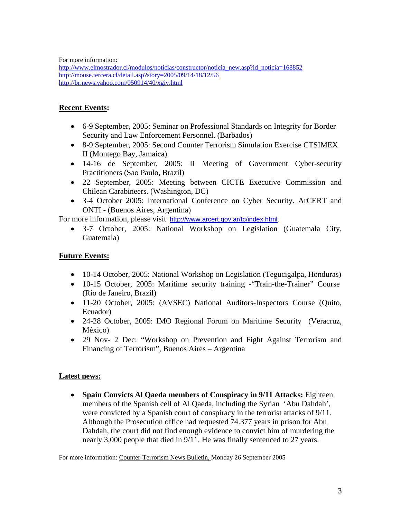For more information:

http://www.elmostrador.cl/modulos/noticias/constructor/noticia\_new.asp?id\_noticia=168852 http://mouse.tercera.cl/detail.asp?story=2005/09/14/18/12/56 http://br.news.yahoo.com/050914/40/xgiv.html

## **Recent Events:**

- 6-9 September, 2005: Seminar on Professional Standards on Integrity for Border Security and Law Enforcement Personnel. (Barbados)
- 8-9 September, 2005: Second Counter Terrorism Simulation Exercise CTSIMEX II (Montego Bay, Jamaica)
- 14-16 de September, 2005: II Meeting of Government Cyber-security Practitioners (Sao Paulo, Brazil)
- 22 September, 2005: Meeting between CICTE Executive Commission and Chilean Carabineers. (Washington, DC)
- 3-4 October 2005: International Conference on Cyber Security. ArCERT and ONTI - (Buenos Aires, Argentina)

For more information, please visit: http://www.arcert.gov.ar/tc/index.html.

• 3-7 October, 2005: National Workshop on Legislation (Guatemala City, Guatemala)

## **Future Events:**

- 10-14 October, 2005: National Workshop on Legislation (Tegucigalpa, Honduras)
- 10-15 October, 2005: Maritime security training -"Train-the-Trainer" Course (Rio de Janeiro, Brazil)
- 11-20 October, 2005: (AVSEC) National Auditors-Inspectors Course (Quito, Ecuador)
- 24-28 October, 2005: IMO Regional Forum on Maritime Security (Veracruz, México)
- 29 Nov- 2 Dec: "Workshop on Prevention and Fight Against Terrorism and Financing of Terrorism", Buenos Aires – Argentina

## **Latest news:**

• **Spain Convicts Al Qaeda members of Conspiracy in 9/11 Attacks:** Eighteen members of the Spanish cell of Al Qaeda, including the Syrian 'Abu Dahdah', were convicted by a Spanish court of conspiracy in the terrorist attacks of 9/11. Although the Prosecution office had requested 74.377 years in prison for Abu Dahdah, the court did not find enough evidence to convict him of murdering the nearly 3,000 people that died in 9/11. He was finally sentenced to 27 years.

For more information: Counter-Terrorism News Bulletin, Monday 26 September 2005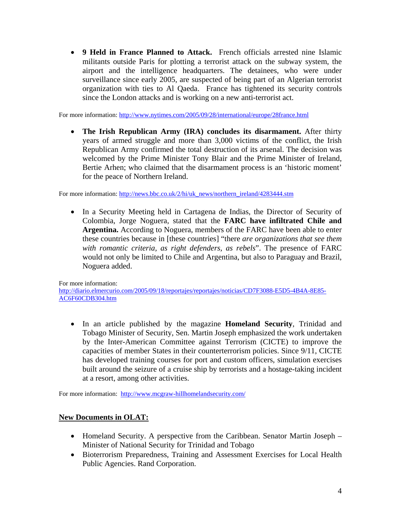• **9 Held in France Planned to Attack.** French officials arrested nine Islamic militants outside Paris for plotting a terrorist attack on the subway system, the airport and the intelligence headquarters. The detainees, who were under surveillance since early 2005, are suspected of being part of an Algerian terrorist organization with ties to Al Qaeda. France has tightened its security controls since the London attacks and is working on a new anti-terrorist act.

For more information: http://www.nytimes.com/2005/09/28/international/europe/28france.html

• **The Irish Republican Army (IRA) concludes its disarmament.** After thirty years of armed struggle and more than 3,000 victims of the conflict, the Irish Republican Army confirmed the total destruction of its arsenal. The decision was welcomed by the Prime Minister Tony Blair and the Prime Minister of Ireland, Bertie Arhen; who claimed that the disarmament process is an 'historic moment' for the peace of Northern Ireland.

For more information: http://news.bbc.co.uk/2/hi/uk\_news/northern\_ireland/4283444.stm

• In a Security Meeting held in Cartagena de Indias, the Director of Security of Colombia, Jorge Noguera, stated that the **FARC have infiltrated Chile and Argentina.** According to Noguera, members of the FARC have been able to enter these countries because in [these countries] "there *are organizations that see them with romantic criteria, as right defenders, as rebels*". The presence of FARC would not only be limited to Chile and Argentina, but also to Paraguay and Brazil, Noguera added.

For more information: http://diario.elmercurio.com/2005/09/18/reportajes/reportajes/noticias/CD7F3088-E5D5-4B4A-8E85- AC6F60CDB304.htm

• In an article published by the magazine **Homeland Security**, Trinidad and Tobago Minister of Security, Sen. Martin Joseph emphasized the work undertaken by the Inter-American Committee against Terrorism (CICTE) to improve the capacities of member States in their counterterrorism policies. Since 9/11, CICTE has developed training courses for port and custom officers, simulation exercises built around the seizure of a cruise ship by terrorists and a hostage-taking incident at a resort, among other activities.

For more information: http://www.mcgraw-hillhomelandsecurity.com/

#### **New Documents in OLAT:**

- Homeland Security. A perspective from the Caribbean. Senator Martin Joseph Minister of National Security for Trinidad and Tobago
- Bioterrorism Preparedness, Training and Assessment Exercises for Local Health Public Agencies. Rand Corporation.